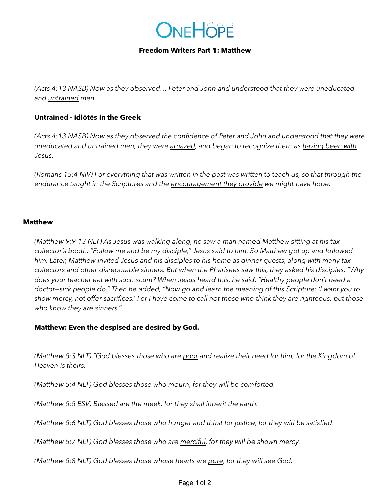

### **Freedom Writers Part 1: Matthew**

*(Acts 4:13 NASB) Now as they observed… Peter and John and understood that they were uneducated and untrained men.* 

## **Untrained - idiōtēs in the Greek**

*(Acts 4:13 NASB) Now as they observed the confidence of Peter and John and understood that they were uneducated and untrained men, they were amazed, and began to recognize them as having been with Jesus.*

*(Romans 15:4 NIV) For everything that was written in the past was written to teach us, so that through the endurance taught in the Scriptures and the encouragement they provide we might have hope.*

#### **Matthew**

*(Matthew 9:9-13 NLT) As Jesus was walking along, he saw a man named Matthew sitting at his tax collector's booth. "Follow me and be my disciple," Jesus said to him. So Matthew got up and followed him. Later, Matthew invited Jesus and his disciples to his home as dinner guests, along with many tax collectors and other disreputable sinners. But when the Pharisees saw this, they asked his disciples, "Why does your teacher eat with such scum? When Jesus heard this, he said, "Healthy people don't need a doctor—sick people do." Then he added, "Now go and learn the meaning of this Scripture: 'I want you to show mercy, not offer sacrifices.' For I have come to call not those who think they are righteous, but those who know they are sinners."* 

### **Matthew: Even the despised are desired by God.**

*(Matthew 5:3 NLT) "God blesses those who are poor and realize their need for him, for the Kingdom of Heaven is theirs.*

*(Matthew 5:4 NLT) God blesses those who mourn, for they will be comforted.*

*(Matthew 5:5 ESV) Blessed are the meek, for they shall inherit the earth.*

*(Matthew 5:6 NLT) God blesses those who hunger and thirst for justice, for they will be satisfied.*

*(Matthew 5:7 NLT) God blesses those who are merciful, for they will be shown mercy.*

*(Matthew 5:8 NLT) God blesses those whose hearts are pure, for they will see God.*